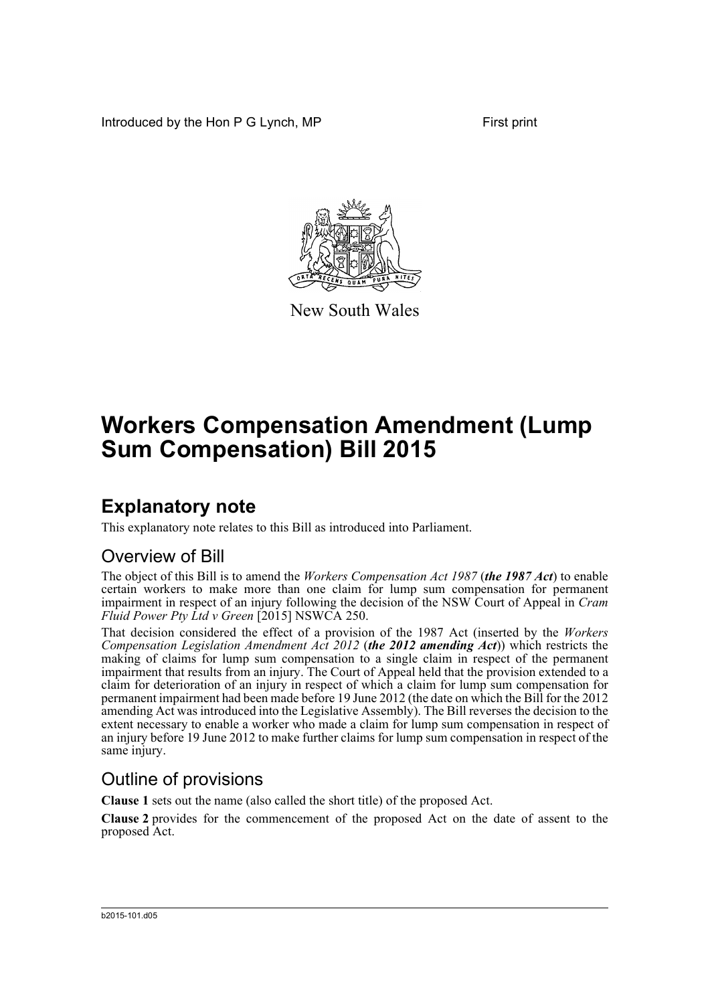Introduced by the Hon P G Lynch, MP First print



New South Wales

# **Workers Compensation Amendment (Lump Sum Compensation) Bill 2015**

## **Explanatory note**

This explanatory note relates to this Bill as introduced into Parliament.

### Overview of Bill

The object of this Bill is to amend the *Workers Compensation Act 1987* (*the 1987 Act*) to enable certain workers to make more than one claim for lump sum compensation for permanent impairment in respect of an injury following the decision of the NSW Court of Appeal in *Cram Fluid Power Pty Ltd v Green* [2015] NSWCA 250.

That decision considered the effect of a provision of the 1987 Act (inserted by the *Workers Compensation Legislation Amendment Act 2012* (*the 2012 amending Act*)) which restricts the making of claims for lump sum compensation to a single claim in respect of the permanent impairment that results from an injury. The Court of Appeal held that the provision extended to a claim for deterioration of an injury in respect of which a claim for lump sum compensation for permanent impairment had been made before 19 June 2012 (the date on which the Bill for the 2012 amending Act was introduced into the Legislative Assembly). The Bill reverses the decision to the extent necessary to enable a worker who made a claim for lump sum compensation in respect of an injury before 19 June 2012 to make further claims for lump sum compensation in respect of the same injury.

### Outline of provisions

**Clause 1** sets out the name (also called the short title) of the proposed Act.

**Clause 2** provides for the commencement of the proposed Act on the date of assent to the proposed Act.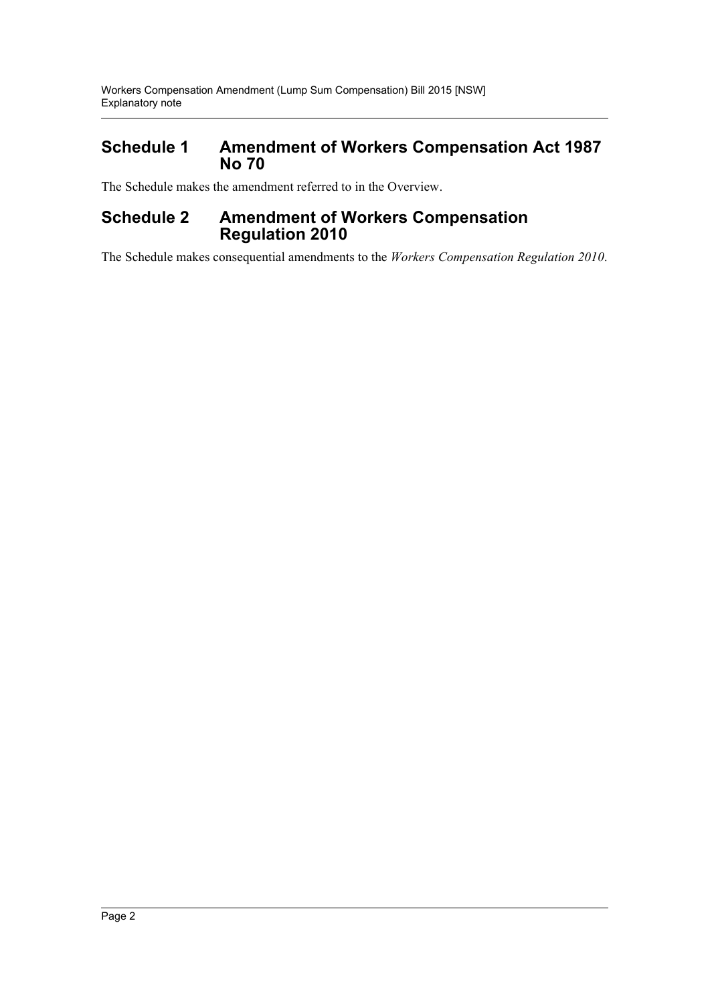### **Schedule 1 Amendment of Workers Compensation Act 1987 No 70**

The Schedule makes the amendment referred to in the Overview.

#### **Schedule 2 Amendment of Workers Compensation Regulation 2010**

The Schedule makes consequential amendments to the *Workers Compensation Regulation 2010*.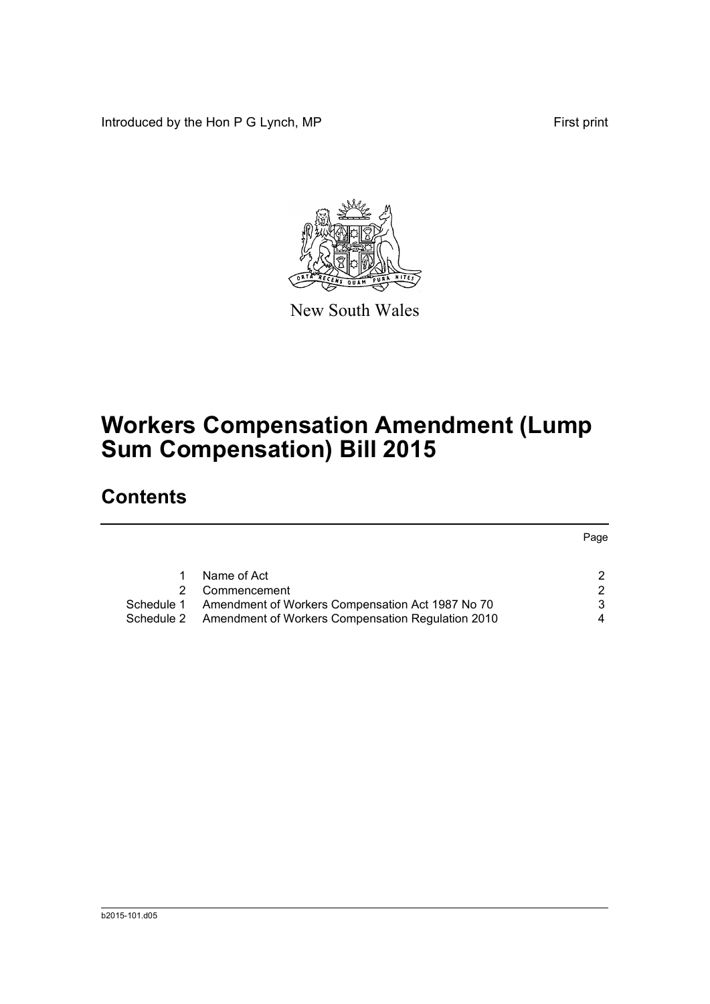Introduced by the Hon P G Lynch, MP First print



New South Wales

## **Workers Compensation Amendment (Lump Sum Compensation) Bill 2015**

## **Contents**

|            |                                                              | Page |
|------------|--------------------------------------------------------------|------|
|            |                                                              |      |
|            | Name of Act                                                  |      |
|            | Commencement                                                 | 2    |
| Schedule 1 | Amendment of Workers Compensation Act 1987 No 70             | 3    |
|            | Schedule 2 Amendment of Workers Compensation Regulation 2010 |      |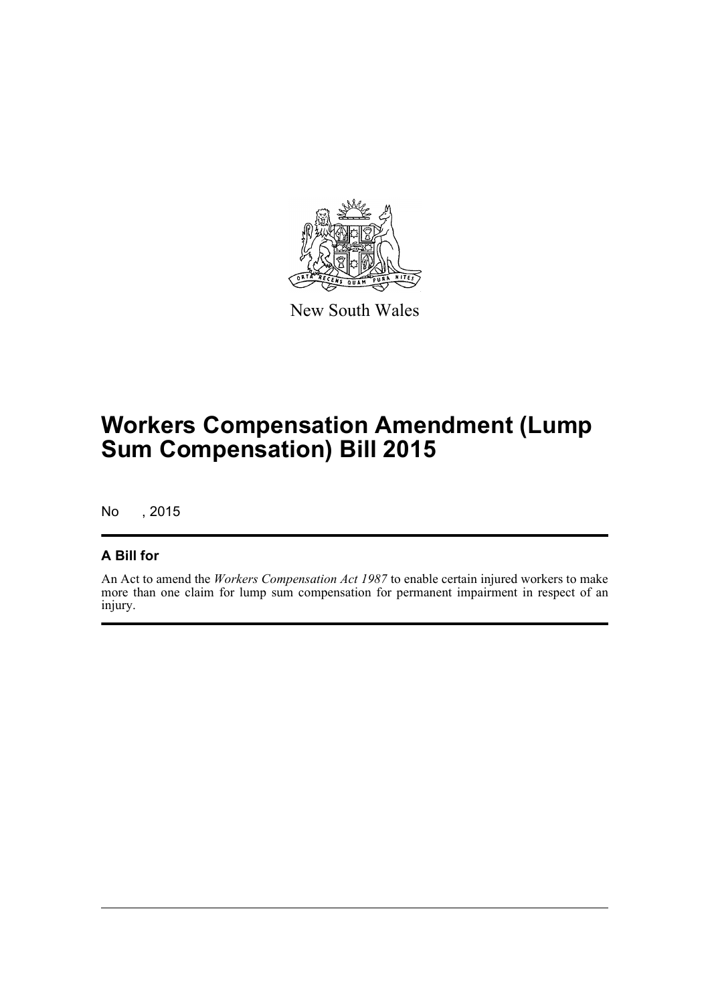

New South Wales

## **Workers Compensation Amendment (Lump Sum Compensation) Bill 2015**

No , 2015

#### **A Bill for**

An Act to amend the *Workers Compensation Act 1987* to enable certain injured workers to make more than one claim for lump sum compensation for permanent impairment in respect of an injury.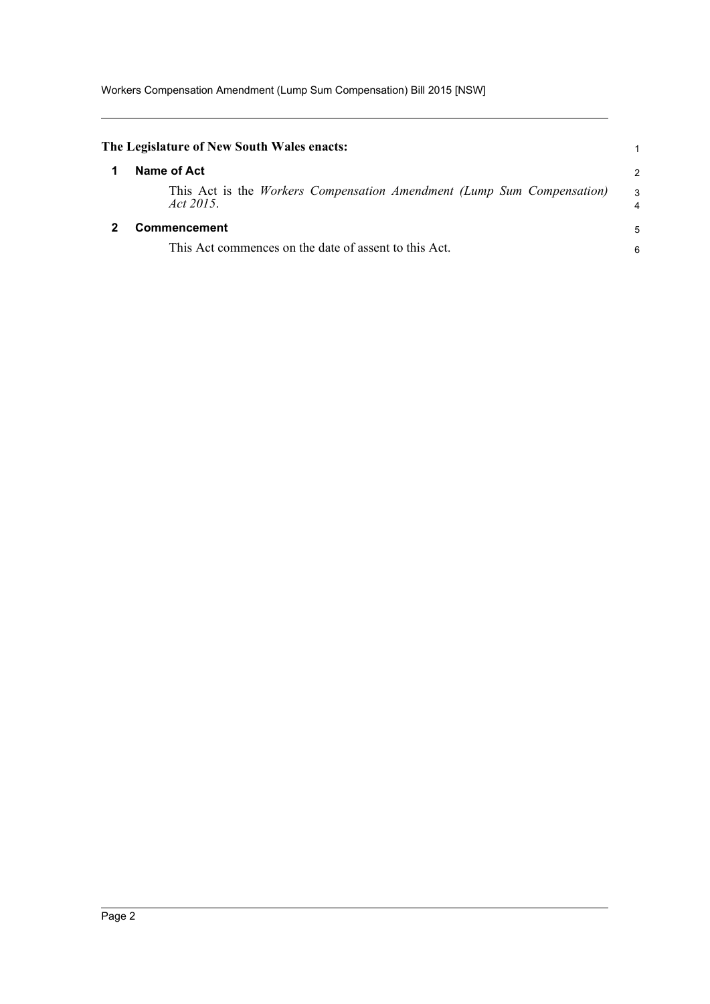<span id="page-4-1"></span><span id="page-4-0"></span>

| The Legislature of New South Wales enacts:                                                 |        |
|--------------------------------------------------------------------------------------------|--------|
| Name of Act                                                                                | 2      |
| This Act is the <i>Workers Compensation Amendment (Lump Sum Compensation)</i><br>Act 2015. | 3      |
| Commencement<br>This Act commences on the date of assent to this Act.                      | 5<br>6 |
|                                                                                            |        |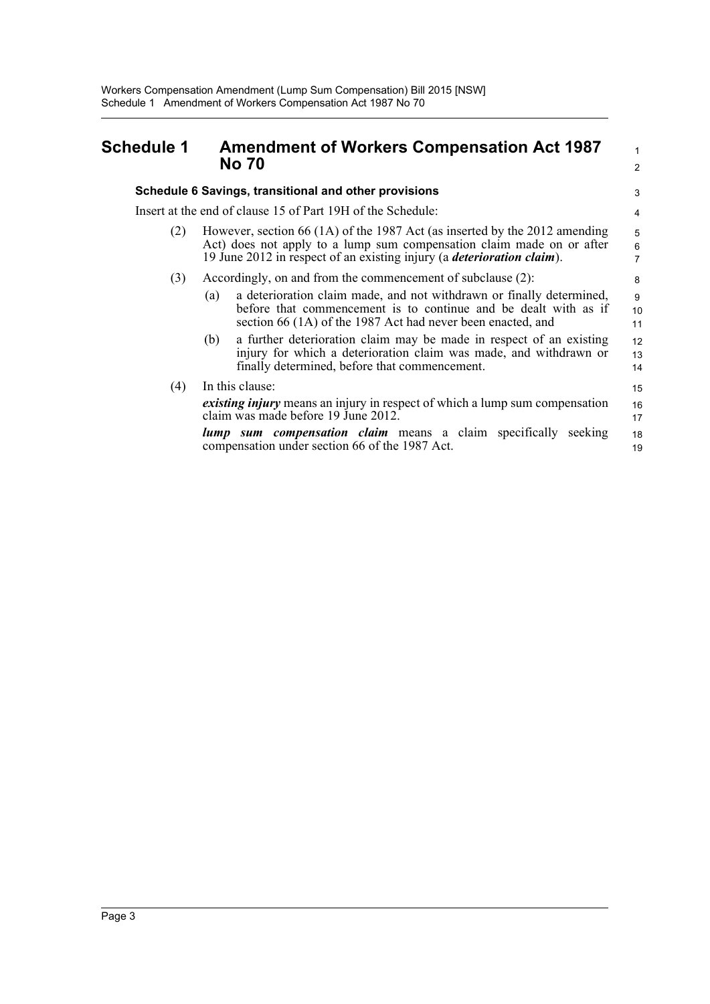### <span id="page-5-0"></span>**Schedule 1 Amendment of Workers Compensation Act 1987 No 70**

|     | NO 70                                                                                                                                                                                                                                 | $\overline{2}$ |
|-----|---------------------------------------------------------------------------------------------------------------------------------------------------------------------------------------------------------------------------------------|----------------|
|     | Schedule 6 Savings, transitional and other provisions                                                                                                                                                                                 | 3              |
|     | Insert at the end of clause 15 of Part 19H of the Schedule:                                                                                                                                                                           | 4              |
| (2) | However, section 66 (1A) of the 1987 Act (as inserted by the 2012 amending<br>Act) does not apply to a lump sum compensation claim made on or after<br>19 June 2012 in respect of an existing injury (a <i>deterioration claim</i> ). | 5<br>6<br>7    |
| (3) | Accordingly, on and from the commencement of subclause (2):                                                                                                                                                                           | 8              |
|     | a deterioration claim made, and not withdrawn or finally determined,<br>(a)<br>before that commencement is to continue and be dealt with as if<br>section 66 (1A) of the 1987 Act had never been enacted, and                         | 9<br>10<br>11  |
|     | a further deterioration claim may be made in respect of an existing<br>(b)<br>injury for which a deterioration claim was made, and withdrawn or<br>finally determined, before that commencement.                                      | 12<br>13<br>14 |
| (4) | In this clause:                                                                                                                                                                                                                       | 15             |
|     | <i>existing injury</i> means an injury in respect of which a lump sum compensation<br>claim was made before 19 June 2012.                                                                                                             | 16<br>17       |
|     | <b>lump sum compensation claim</b> means a claim specifically<br>seeking<br>compensation under section 66 of the 1987 Act.                                                                                                            | 18<br>19       |

1